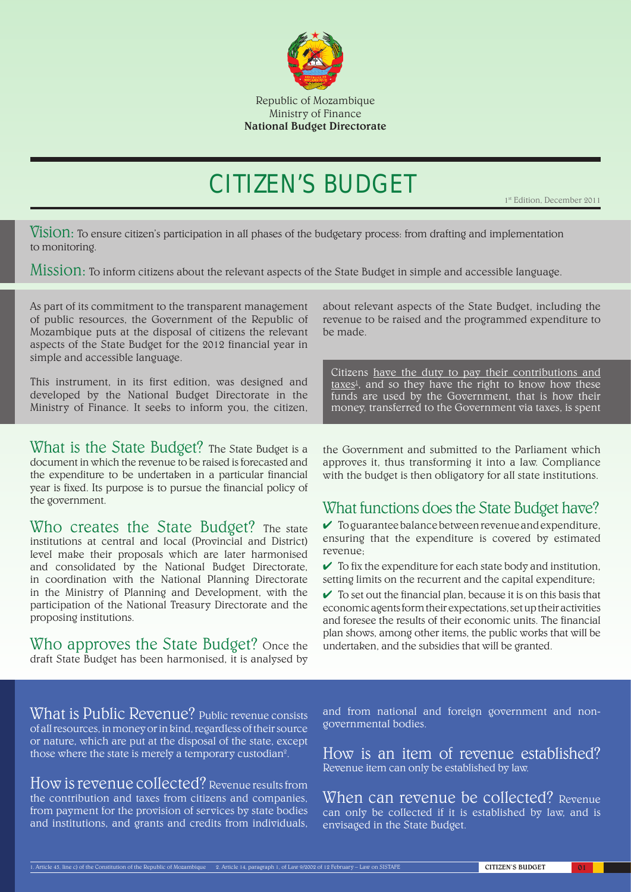

# CITIZEN'S BUDGET

1<sup>st</sup> Edition, December 2011

Vision: To ensure citizen's participation in all phases of the budgetary process: from drafting and implementation to monitoring.

Mission: To inform citizens about the relevant aspects of the State Budget in simple and accessible language.

As part of its commitment to the transparent management of public resources, the Government of the Republic of Mozambique puts at the disposal of citizens the relevant aspects of the State Budget for the 2012 financial year in simple and accessible language.

This instrument, in its first edition, was designed and developed by the National Budget Directorate in the Ministry of Finance. It seeks to inform you, the citizen,

What is the State Budget? The State Budget is a document in which the revenue to be raised is forecasted and the expenditure to be undertaken in a particular financial year is fixed. Its purpose is to pursue the financial policy of the government.

Who creates the State Budget? The state institutions at central and local (Provincial and District) level make their proposals which are later harmonised and consolidated by the National Budget Directorate, in coordination with the National Planning Directorate in the Ministry of Planning and Development, with the participation of the National Treasury Directorate and the proposing institutions.

Who approves the State Budget? Once the draft State Budget has been harmonised, it is analysed by

about relevant aspects of the State Budget, including the revenue to be raised and the programmed expenditure to be made.

Citizens have the duty to pay their contributions and taxes<sup>1</sup>, and so they have the right to know how these funds are used by the Government, that is how their money, transferred to the Government via taxes, is spent

the Government and submitted to the Parliament which approves it, thus transforming it into a law. Compliance with the budget is then obligatory for all state institutions.

### What functions does the State Budget have?

To guarantee balance between revenue and expenditure, ✔ ensuring that the expenditure is covered by estimated revenue;

 $\checkmark$  To fix the expenditure for each state body and institution, setting limits on the recurrent and the capital expenditure;

 $\checkmark$  To set out the financial plan, because it is on this basis that economic agents form their expectations, set up their activities and foresee the results of their economic units. The financial plan shows, among other items, the public works that will be undertaken, and the subsidies that will be granted.

What is Public Revenue? Public revenue consists of all resources, in money or in kind, regardless of their source or nature, which are put at the disposal of the state, except those where the state is merely a temporary custodian<sup>2</sup>.

How is revenue collected? Revenue results from the contribution and taxes from citizens and companies, from payment for the provision of services by state bodies and institutions, and grants and credits from individuals,

and from national and foreign government and nongovernmental bodies.

How is an item of revenue established? Revenue item can only be established by law.

When can revenue be collected? Revenue can only be collected if it is established by law, and is envisaged in the State Budget.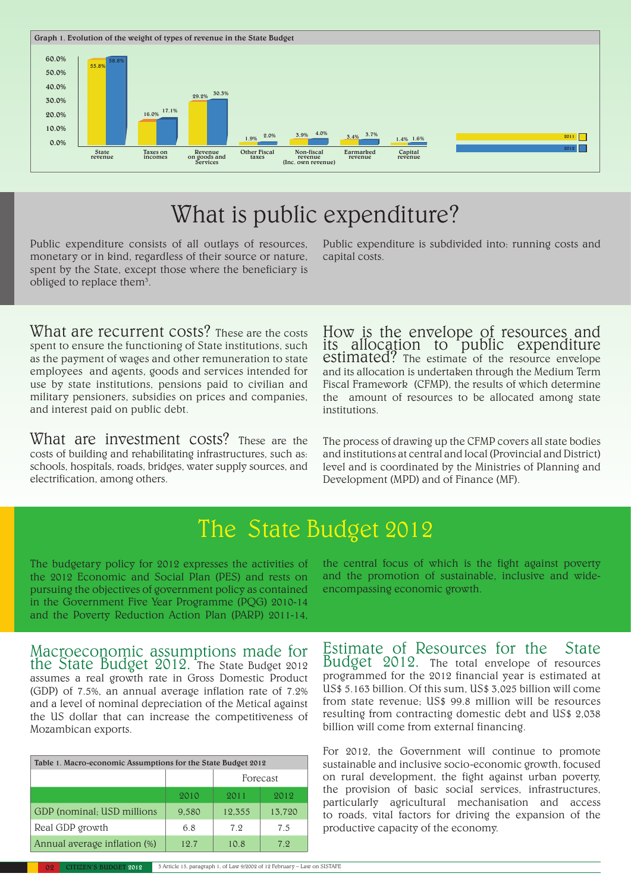

# What is public expenditure?

Public expenditure consists of all outlays of resources, monetary or in kind, regardless of their source or nature, spent by the State, except those where the beneficiary is obliged to replace them<sup>3</sup>.

Public expenditure is subdivided into: running costs and capital costs.

What are recurrent costs? These are the costs spent to ensure the functioning of State institutions, such as the payment of wages and other remuneration to state employees and agents, goods and services intended for use by state institutions, pensions paid to civilian and military pensioners, subsidies on prices and companies, and interest paid on public debt.

What are investment costs? These are the costs of building and rehabilitating infrastructures, such as: schools, hospitals, roads, bridges, water supply sources, and electrification, among others.

How is the envelope of resources and its allocation to public expenditure estimated? The estimate of the resource envelope and its allocation is undertaken through the Medium Term Fiscal Framework (CFMP), the results of which determine the amount of resources to be allocated among state institutions.

The process of drawing up the CFMP covers all state bodies and institutions at central and local (Provincial and District) level and is coordinated by the Ministries of Planning and Development (MPD) and of Finance (MF).

# The State Budget 2012

The budgetary policy for 2012 expresses the activities of the 2012 Economic and Social Plan (PES) and rests on pursuing the objectives of government policy as contained in the Government Five Year Programme (PQG) 2010-14 and the Poverty Reduction Action Plan (PARP) 2011-14,

Macroeconomic assumptions made for the State Budget 2012. The State Budget 2012 assumes a real growth rate in Gross Domestic Product (GDP) of 7.5%, an annual average inflation rate of 7.2% and a level of nominal depreciation of the Metical against the US dollar that can increase the competitiveness of

| Table 1. Macro-economic Assumptions for the State Budget 2012 |       |          |        |  |  |
|---------------------------------------------------------------|-------|----------|--------|--|--|
|                                                               |       | Forecast |        |  |  |
|                                                               | 2010  | 2011     | 2012   |  |  |
| GDP (nominal; USD millions                                    | 9.580 | 12.355   | 13,720 |  |  |
| Real GDP growth                                               | 6.8   | 7.9      | 7.5    |  |  |
| Annual average inflation (%)                                  | 19.7  | 10.8     | 7.9.   |  |  |

Mozambican exports.

the central focus of which is the fight against poverty and the promotion of sustainable, inclusive and wideencompassing economic growth.

Estimate of Resources for the State Budget 2012. The total envelope of resources programmed for the 2012 financial year is estimated at US\$ 5.163 billion. Of this sum, US\$ 3,025 billion will come from state revenue; US\$ 99.8 million will be resources resulting from contracting domestic debt and US\$ 2,038 billion will come from external financing.

For 2012, the Government will continue to promote sustainable and inclusive socio-economic growth, focused on rural development, the fight against urban poverty, the provision of basic social services, infrastructures, particularly agricultural mechanisation and access to roads, vital factors for driving the expansion of the productive capacity of the economy.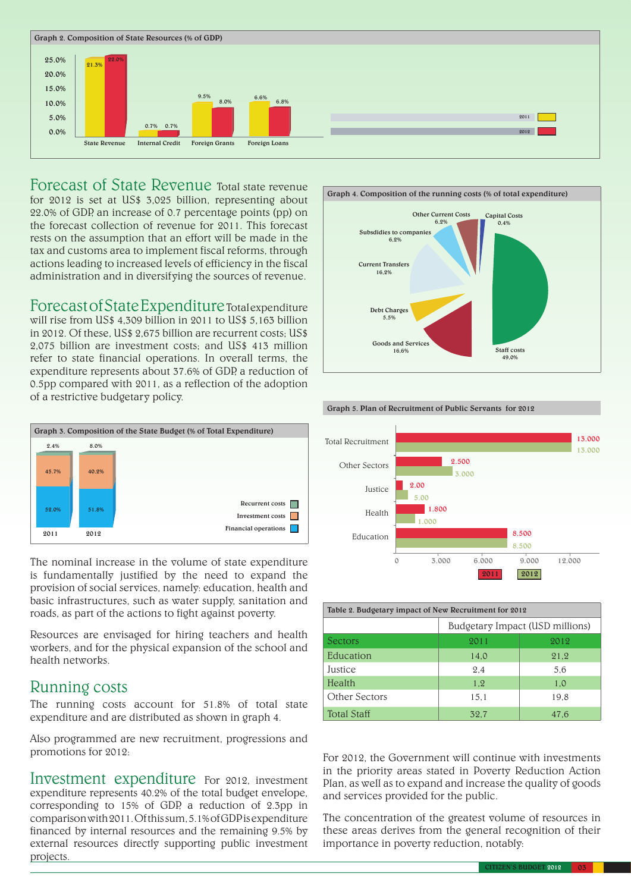

Forecast of State Revenue Total state revenue for 2012 is set at US\$ 3,025 billion, representing about 22.0% of GDP, an increase of 0.7 percentage points (pp) on the forecast collection of revenue for 2011. This forecast rests on the assumption that an effort will be made in the tax and customs area to implement fiscal reforms, through actions leading to increased levels of efficiency in the fiscal administration and in diversifying the sources of revenue.

Forecast of State Expenditure Total expenditure will rise from US\$ 4,309 billion in 2011 to US\$ 5,163 billion in 2012. Of these, US\$ 2,675 billion are recurrent costs; US\$ 2,075 billion are investment costs; and US\$ 413 million refer to state financial operations. In overall terms, the expenditure represents about 37.6% of GDP, a reduction of 0.5pp compared with 2011, as a reflection of the adoption of a restrictive budgetary policy.



The nominal increase in the volume of state expenditure is fundamentally justified by the need to expand the provision of social services, namely: education, health and basic infrastructures, such as water supply, sanitation and roads, as part of the actions to fight against poverty.

Resources are envisaged for hiring teachers and health workers, and for the physical expansion of the school and health networks.

#### Running costs

The running costs account for 51.8% of total state expenditure and are distributed as shown in graph 4.

Also programmed are new recruitment, progressions and promotions for 2012:

Investment expenditure For 2012, investment expenditure represents 40.2% of the total budget envelope, corresponding to 15% of GDP, a reduction of 2.3pp in comparison with 2011. Of this sum, 5.1% of GDP is expenditure financed by internal resources and the remaining 9.5% by external resources directly supporting public investment projects.



Graph 5. Plan of Recruitment of Public Servants for 2012



| Table 2. Budgetary impact of New Recruitment for 2012 |                                 |      |  |  |
|-------------------------------------------------------|---------------------------------|------|--|--|
|                                                       | Budgetary Impact (USD millions) |      |  |  |
| Sectors                                               | 2011                            | 2012 |  |  |
| Education                                             | 14.0                            | 21,2 |  |  |
| Justice                                               | 2.4                             | 5.6  |  |  |
| Health                                                | 1.2                             | 1.0  |  |  |
| Other Sectors                                         | 15.1                            | 19.8 |  |  |
| <b>Total Staff</b>                                    | 32.7                            | 47.6 |  |  |

For 2012, the Government will continue with investments in the priority areas stated in Poverty Reduction Action Plan, as well as to expand and increase the quality of goods and services provided for the public.

The concentration of the greatest volume of resources in these areas derives from the general recognition of their importance in poverty reduction, notably: